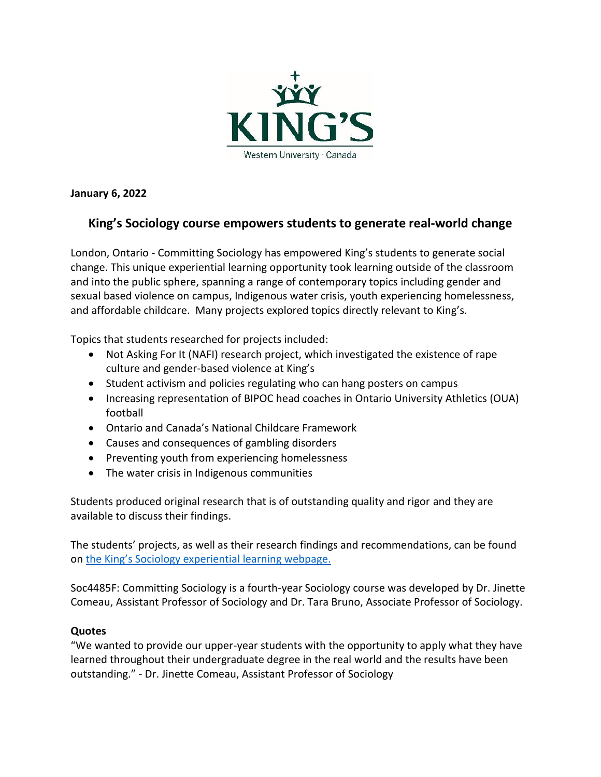

**January 6, 2022**

## **King's Sociology course empowers students to generate real-world change**

London, Ontario - Committing Sociology has empowered King's students to generate social change. This unique experiential learning opportunity took learning outside of the classroom and into the public sphere, spanning a range of contemporary topics including gender and sexual based violence on campus, Indigenous water crisis, youth experiencing homelessness, and affordable childcare. Many projects explored topics directly relevant to King's.

Topics that students researched for projects included:

- Not Asking For It (NAFI) research project, which investigated the existence of rape culture and gender-based violence at King's
- Student activism and policies regulating who can hang posters on campus
- Increasing representation of BIPOC head coaches in Ontario University Athletics (OUA) football
- Ontario and Canada's National Childcare Framework
- Causes and consequences of gambling disorders
- Preventing youth from experiencing homelessness
- The water crisis in Indigenous communities

Students produced original research that is of outstanding quality and rigor and they are available to discuss their findings.

The students' projects, as well as their research findings and recommendations, can be found on the King's [Sociology experiential learning webpage.](https://www.kings.uwo.ca/academics/sociology/experiential-learning/community-based-experiential-learning/)

Soc4485F: Committing Sociology is a fourth-year Sociology course was developed by Dr. Jinette Comeau, Assistant Professor of Sociology and Dr. Tara Bruno, Associate Professor of Sociology.

## **Quotes**

"We wanted to provide our upper-year students with the opportunity to apply what they have learned throughout their undergraduate degree in the real world and the results have been outstanding." - Dr. Jinette Comeau, Assistant Professor of Sociology